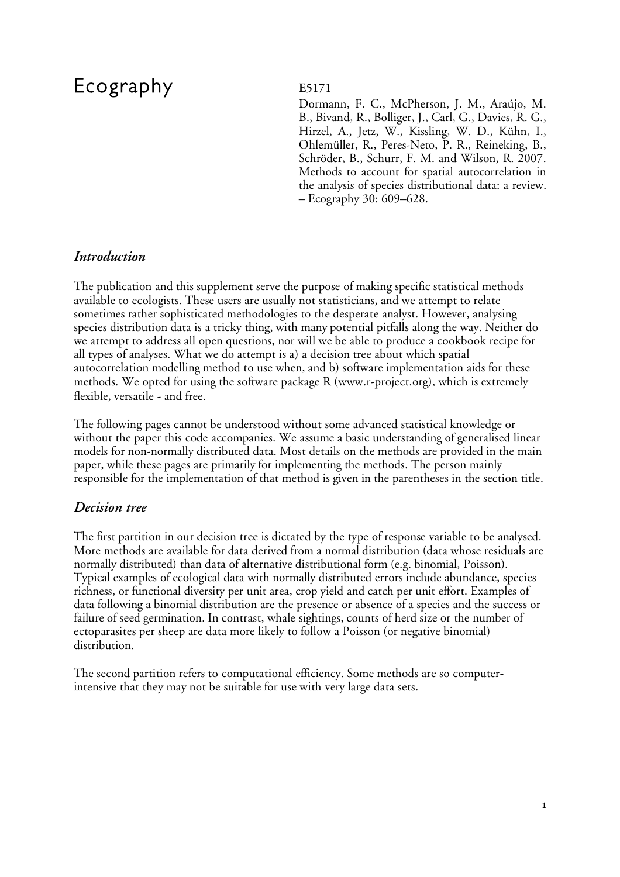# Ecography **E5171**

Dormann, F. C., McPherson, J. M., Araújo, M. B., Bivand, R., Bolliger, J., Carl, G., Davies, R. G., Hirzel, A., Jetz, W., Kissling, W. D., Kühn, I., Ohlemüller, R., Peres-Neto, P. R., Reineking, B., Schröder, B., Schurr, F. M. and Wilson, R. 2007. Methods to account for spatial autocorrelation in the analysis of species distributional data: a review. – Ecography 30: 609–628.

# *Introduction*

The publication and this supplement serve the purpose of making specific statistical methods available to ecologists. These users are usually not statisticians, and we attempt to relate sometimes rather sophisticated methodologies to the desperate analyst. However, analysing species distribution data is a tricky thing, with many potential pitfalls along the way. Neither do we attempt to address all open questions, nor will we be able to produce a cookbook recipe for all types of analyses. What we do attempt is a) a decision tree about which spatial autocorrelation modelling method to use when, and b) software implementation aids for these methods. We opted for using the software package R (www.r-project.org), which is extremely flexible, versatile - and free.

The following pages cannot be understood without some advanced statistical knowledge or without the paper this code accompanies. We assume a basic understanding of generalised linear models for non-normally distributed data. Most details on the methods are provided in the main paper, while these pages are primarily for implementing the methods. The person mainly responsible for the implementation of that method is given in the parentheses in the section title.

# *Decision tree*

The first partition in our decision tree is dictated by the type of response variable to be analysed. More methods are available for data derived from a normal distribution (data whose residuals are normally distributed) than data of alternative distributional form (e.g. binomial, Poisson). Typical examples of ecological data with normally distributed errors include abundance, species richness, or functional diversity per unit area, crop yield and catch per unit effort. Examples of data following a binomial distribution are the presence or absence of a species and the success or failure of seed germination. In contrast, whale sightings, counts of herd size or the number of ectoparasites per sheep are data more likely to follow a Poisson (or negative binomial) distribution.

The second partition refers to computational efficiency. Some methods are so computerintensive that they may not be suitable for use with very large data sets.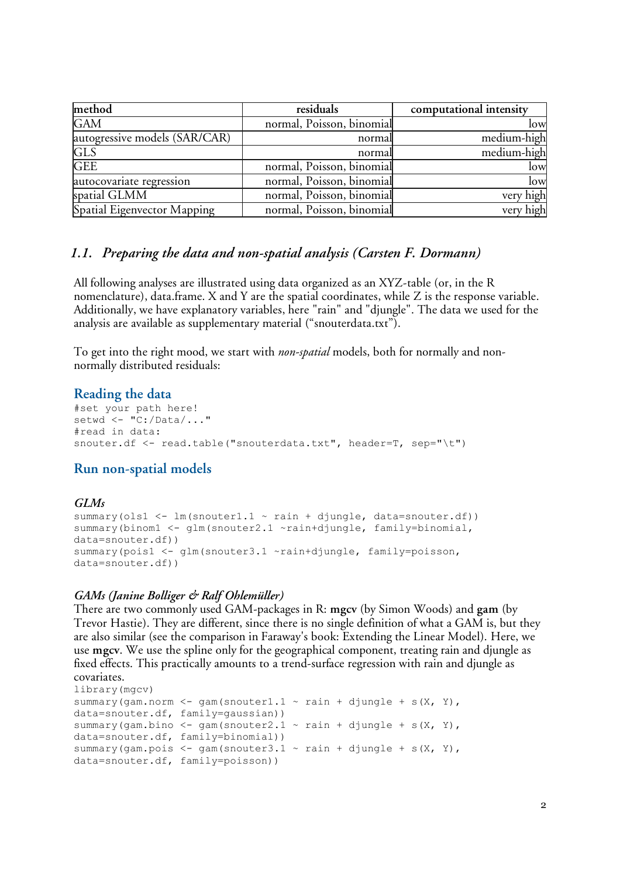| method                        | residuals                 | computational intensity |
|-------------------------------|---------------------------|-------------------------|
| <b>GAM</b>                    | normal, Poisson, binomial | low                     |
| autogressive models (SAR/CAR) | normal                    | medium-high             |
| <b>GLS</b>                    | normal                    | medium-high             |
| <b>GEE</b>                    | normal, Poisson, binomial | low                     |
| autocovariate regression      | normal, Poisson, binomial | low                     |
| spatial GLMM                  | normal, Poisson, binomial | very high               |
| Spatial Eigenvector Mapping   | normal, Poisson, binomial | very high               |

### *1.1. Preparing the data and non-spatial analysis (Carsten F. Dormann)*

All following analyses are illustrated using data organized as an XYZ-table (or, in the R nomenclature), data.frame. X and Y are the spatial coordinates, while Z is the response variable. Additionally, we have explanatory variables, here "rain" and "djungle". The data we used for the analysis are available as supplementary material ("snouterdata.txt").

To get into the right mood, we start with *non-spatial* models, both for normally and nonnormally distributed residuals:

#### **Reading the data**

```
#set your path here!
setwd <- "C:/Data/..."
#read in data:
snouter.df <- read.table("snouterdata.txt", header=T, sep="\t")
```
# **Run non-spatial models**

#### *GLMs* summary(ols1  $\leftarrow$  lm(snouter1.1  $\sim$  rain + djungle, data=snouter.df)) summary(binom1 <- glm(snouter2.1 ~rain+djungle, family=binomial, data=snouter.df)) summary(pois1 <- glm(snouter3.1 ~rain+djungle, family=poisson, data=snouter.df))

#### *GAMs (Janine Bolliger & Ralf Ohlemüller)*

There are two commonly used GAM-packages in R: **mgcv** (by Simon Woods) and **gam** (by Trevor Hastie). They are different, since there is no single definition of what a GAM is, but they are also similar (see the comparison in Faraway's book: Extending the Linear Model). Here, we use **mgcv**. We use the spline only for the geographical component, treating rain and djungle as fixed effects. This practically amounts to a trend-surface regression with rain and djungle as covariates.

```
library(mgcv)
summary(gam.norm <- gam(snouter1.1 \sim rain + djungle + s(X, Y),
data=snouter.df, family=gaussian))
summary(gam.bino <- gam(snouter2.1 \sim rain + djungle + s(X, Y),
data=snouter.df, family=binomial))
summary(gam.pois \leq gam(snouter3.1 \sim rain + djungle + s(X, Y),
data=snouter.df, family=poisson))
```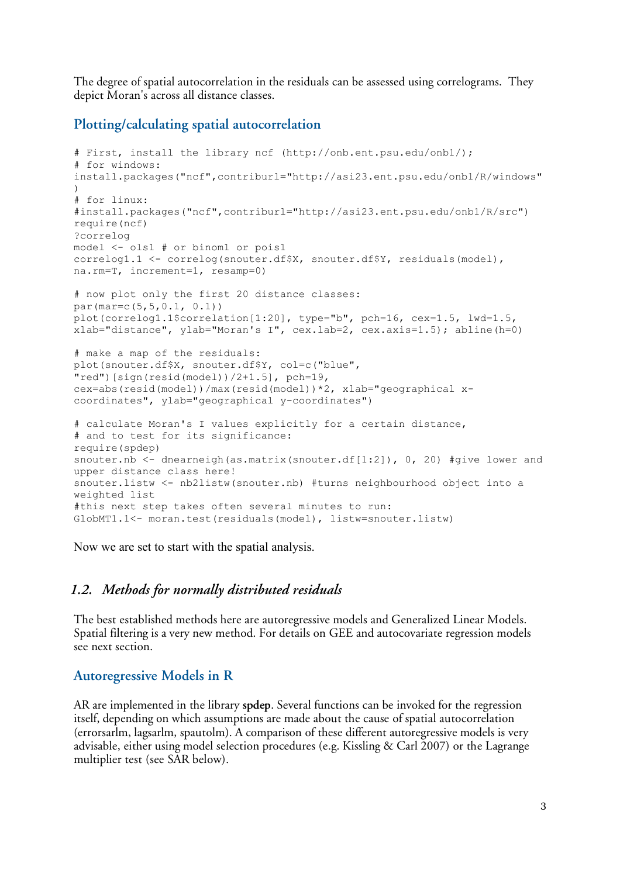The degree of spatial autocorrelation in the residuals can be assessed using correlograms. They depict Moran's across all distance classes.

#### **Plotting/calculating spatial autocorrelation**

```
# First, install the library ncf (http://onb.ent.psu.edu/onb1/);
# for windows:
install.packages("ncf",contriburl="http://asi23.ent.psu.edu/onb1/R/windows"
)
# for linux:
#install.packages("ncf",contriburl="http://asi23.ent.psu.edu/onb1/R/src")
require(ncf)
?correlog
model <- ols1 # or binom1 or pois1
correlog1.1 <- correlog(snouter.df$X, snouter.df$Y, residuals(model),
na.rm=T, increment=1, resamp=0)
# now plot only the first 20 distance classes:
par(mar=c(5,5,0.1, 0.1))
plot(correlog1.1$correlation[1:20], type="b", pch=16, cex=1.5, lwd=1.5,
xlab="distance", ylab="Moran's I", cex.lab=2, cex.axis=1.5); abline(h=0)
# make a map of the residuals:
plot(snouter.df$X, snouter.df$Y, col=c("blue",
"red")[sign(resid(model))/2+1.5], pch=19,
cex=abs(resid(model))/max(resid(model))*2, xlab="geographical x-
coordinates", ylab="geographical y-coordinates")
# calculate Moran's I values explicitly for a certain distance,
# and to test for its significance:
require(spdep)
snouter.nb <- dnearneigh (as.matrix(snouter.df[1:2]), 0, 20) #give lower and
upper distance class here!
snouter.listw <- nb2listw(snouter.nb) #turns neighbourhood object into a
weighted list
#this next step takes often several minutes to run:
GlobMT1.1<- moran.test(residuals(model), listw=snouter.listw)
```
Now we are set to start with the spatial analysis.

#### *1.2. Methods for normally distributed residuals*

The best established methods here are autoregressive models and Generalized Linear Models. Spatial filtering is a very new method. For details on GEE and autocovariate regression models see next section.

#### **Autoregressive Models in R**

AR are implemented in the library **spdep**. Several functions can be invoked for the regression itself, depending on which assumptions are made about the cause of spatial autocorrelation (errorsarlm, lagsarlm, spautolm). A comparison of these different autoregressive models is very advisable, either using model selection procedures (e.g. Kissling & Carl 2007) or the Lagrange multiplier test (see SAR below).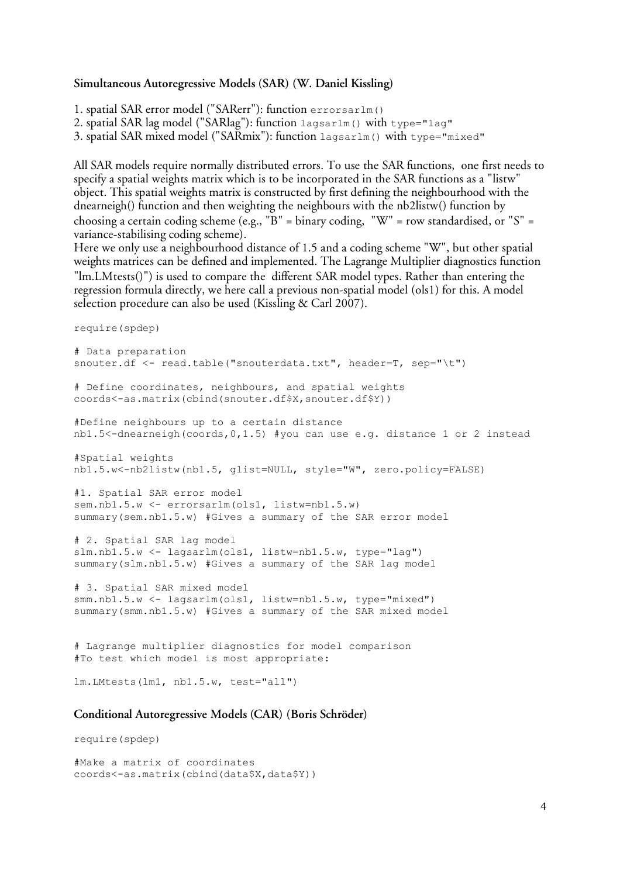#### **Simultaneous Autoregressive Models (SAR) (W. Daniel Kissling)**

1. spatial SAR error model ("SARerr"): function errorsarlm() 2. spatial SAR lag model ("SARlag"): function lagsarlm() with type="lag"

3. spatial SAR mixed model ("SARmix"): function lagsarlm() with type="mixed"

All SAR models require normally distributed errors. To use the SAR functions, one first needs to specify a spatial weights matrix which is to be incorporated in the SAR functions as a "listw" object. This spatial weights matrix is constructed by first defining the neighbourhood with the dnearneigh() function and then weighting the neighbours with the nb2listw() function by choosing a certain coding scheme (e.g., "B" = binary coding, "W" = row standardised, or "S" = variance-stabilising coding scheme).

Here we only use a neighbourhood distance of 1.5 and a coding scheme "W", but other spatial weights matrices can be defined and implemented. The Lagrange Multiplier diagnostics function "lm.LMtests()") is used to compare the different SAR model types. Rather than entering the regression formula directly, we here call a previous non-spatial model (ols1) for this. A model selection procedure can also be used (Kissling & Carl 2007).

```
require(spdep)
```

```
# Data preparation
snouter.df <- read.table("snouterdata.txt", header=T, sep="\t")
# Define coordinates, neighbours, and spatial weights
coords<-as.matrix(cbind(snouter.df$X,snouter.df$Y))
#Define neighbours up to a certain distance
nb1.5<-dnearneigh(coords,0,1.5) #you can use e.g. distance 1 or 2 instead
#Spatial weights
nb1.5.w<-nb2listw(nb1.5, glist=NULL, style="W", zero.policy=FALSE)
#1. Spatial SAR error model
sem.nb1.5.w <- errorsarlm(ols1, listw=nb1.5.w)
summary(sem.nb1.5.w) #Gives a summary of the SAR error model
# 2. Spatial SAR lag model
slm.nb1.5.w <- lagsarlm(ols1, listw=nb1.5.w, type="lag")
summary(slm.nb1.5.w) #Gives a summary of the SAR lag model
# 3. Spatial SAR mixed model
smm.nb1.5.w <- lagsarlm(ols1, listw=nb1.5.w, type="mixed")
summary(smm.nb1.5.w) #Gives a summary of the SAR mixed model
# Lagrange multiplier diagnostics for model comparison
#To test which model is most appropriate:
lm.LMtests(lm1, nb1.5.w, test="all")
```
#### **Conditional Autoregressive Models (CAR) (Boris Schröder)**

require(spdep)

#Make a matrix of coordinates coords<-as.matrix(cbind(data\$X,data\$Y))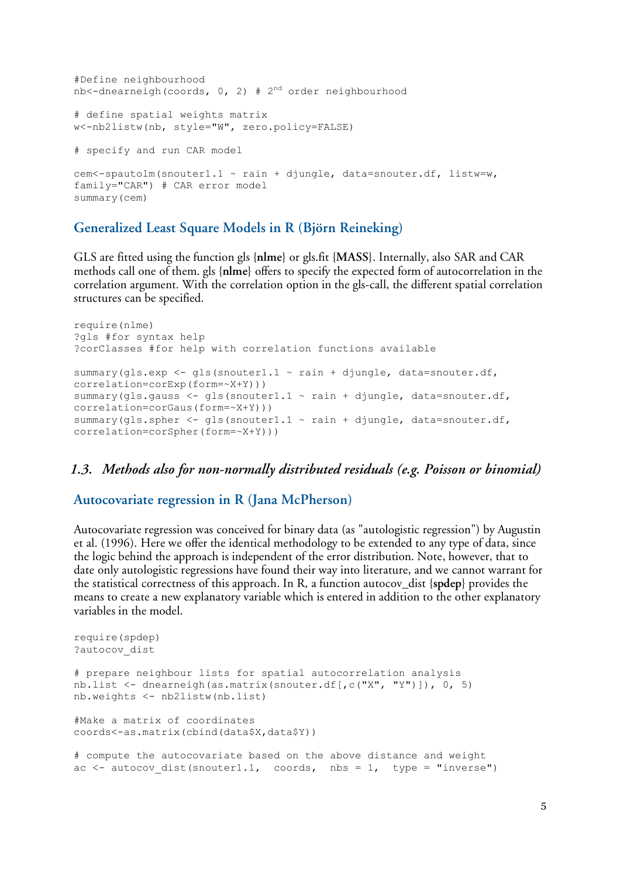```
#Define neighbourhood
nb<-dnearneigh(coords, 0, 2) # 2<sup>nd</sup> order neighbourhood
# define spatial weights matrix
w<-nb2listw(nb, style="W", zero.policy=FALSE)
# specify and run CAR model
cem<-spautolm(snouter1.1 ~ rain + djungle, data=snouter.df, listw=w,
family="CAR") # CAR error model
summary(cem)
```
#### **Generalized Least Square Models in R (Björn Reineking)**

GLS are fitted using the function gls {**nlme**} or gls.fit {**MASS**}. Internally, also SAR and CAR methods call one of them. gls {**nlme**} offers to specify the expected form of autocorrelation in the correlation argument. With the correlation option in the gls-call, the different spatial correlation structures can be specified.

```
require(nlme)
?gls #for syntax help
?corClasses #for help with correlation functions available
summary(qls.exp <- qls(snouter1.1 \sim rain + djungle, data=snouter.df,
correlation=corExp(form=~X+Y)))
summary(qls.gauss <- qls(snouter1.1 \sim rain + djungle, data=snouter.df,
correlation=corGaus(form=~X+Y)))
summary(gls.spher \leq gls(snouter1.1 \sim rain + djungle, data=snouter.df,
correlation=corSpher(form=~X+Y)))
```
#### *1.3. Methods also for non-normally distributed residuals (e.g. Poisson or binomial)*

#### **Autocovariate regression in R (Jana McPherson)**

Autocovariate regression was conceived for binary data (as "autologistic regression") by Augustin et al. (1996). Here we offer the identical methodology to be extended to any type of data, since the logic behind the approach is independent of the error distribution. Note, however, that to date only autologistic regressions have found their way into literature, and we cannot warrant for the statistical correctness of this approach. In R, a function autocov\_dist {**spdep**} provides the means to create a new explanatory variable which is entered in addition to the other explanatory variables in the model.

```
require(spdep)
?autocov_dist
# prepare neighbour lists for spatial autocorrelation analysis
nb.list <- dnearneigh(as.matrix(snouter.df[,c("X", "Y")]), 0, 5)
nb.weights <- nb2listw(nb.list)
#Make a matrix of coordinates
coords<-as.matrix(cbind(data$X,data$Y))
# compute the autocovariate based on the above distance and weight
ac \le - autocov dist(snouter1.1, coords, nbs = 1, type = "inverse")
```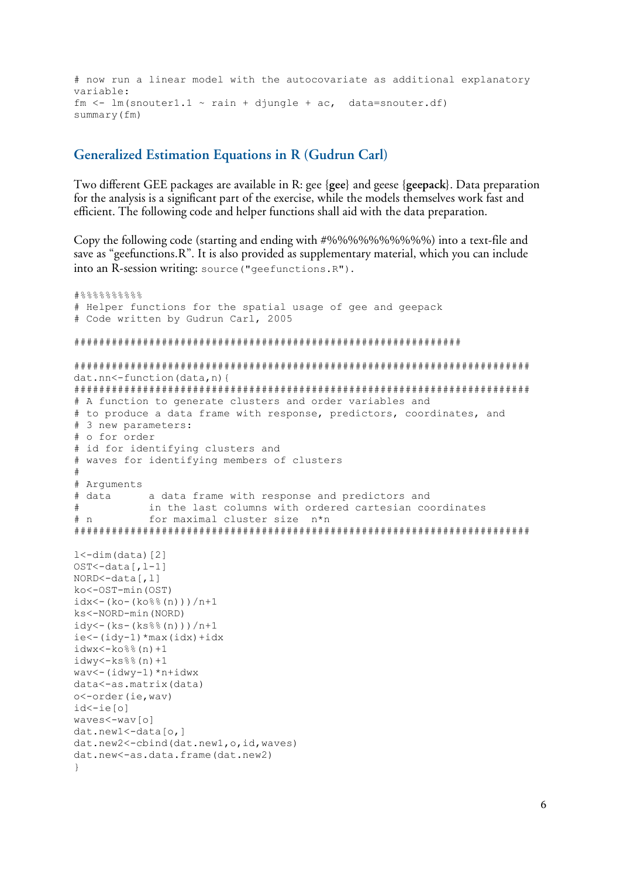# now run a linear model with the autocovariate as additional explanatory variable: fm  $\le$  - lm(snouter1.1  $\sim$  rain + djungle + ac, data=snouter.df) summary(fm)

#### **Generalized Estimation Equations in R (Gudrun Carl)**

Two different GEE packages are available in R: gee {**gee**} and geese {**geepack**}. Data preparation for the analysis is a significant part of the exercise, while the models themselves work fast and efficient. The following code and helper functions shall aid with the data preparation.

Copy the following code (starting and ending with #%%%%%%%%%%) into a text-file and save as "geefunctions.R". It is also provided as supplementary material, which you can include into an R-session writing: source("geefunctions.R").

```
#88888888# Helper functions for the spatial usage of gee and geepack
# Code written by Gudrun Carl, 2005
##############################################################
#########################################################################
dat.nn<-function(data,n){
#########################################################################
# A function to generate clusters and order variables and
# to produce a data frame with response, predictors, coordinates, and
# 3 new parameters:
# o for order
# id for identifying clusters and
# waves for identifying members of clusters
#
# Arguments
# data a data frame with response and predictors and
            in the last columns with ordered cartesian coordinates
# n for maximal cluster size n*n
#########################################################################
1 < -dim(data)[2]
OST<-data[,l-1]
NORD<-data[,l]
ko<-OST-min(OST)
idx < -(ko-(ko%n)))/n+1ks<-NORD-min(NORD)
idy < - (ks-(ks%%(n)))/n+1
ie<-(idv-1)*max(idx)+idxidwx < -k0% (n) +1idwy < -ks%(n) + 1wav<-(idwy-1)*n+idwx
data<-as.matrix(data)
o<-order(ie,wav)
id<-ie[o]
waves<-wav[o]
dat.new1<-data[o,]
dat.new2<-cbind(dat.new1,o,id,waves)
dat.new<-as.data.frame(dat.new2)
}
```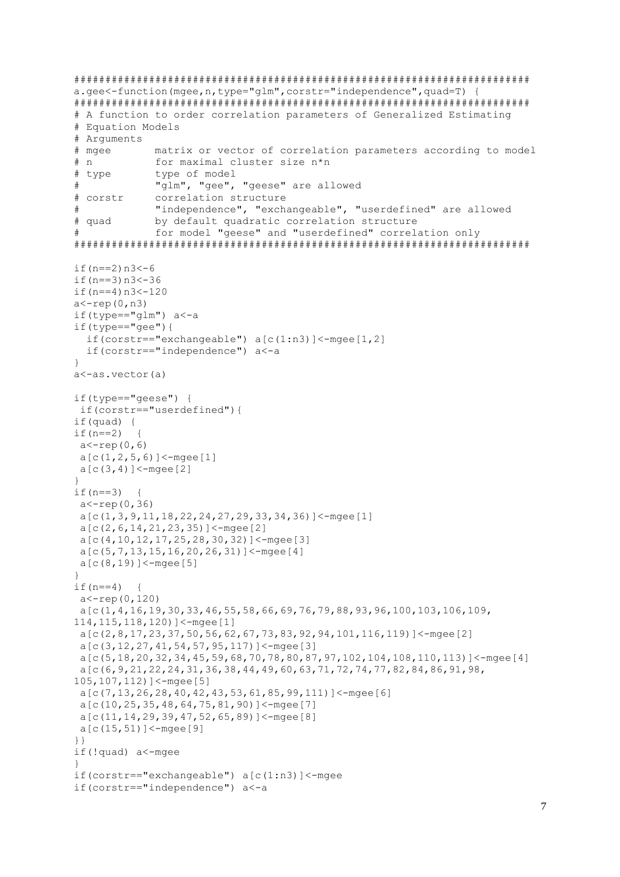```
a. qee \leq -function (mqee, n, type="qlm", constr="independence", quad=T) {
# A function to order correlation parameters of Generalized Estimating
# Equation Models
# Arquments
# mgee
             matrix or vector of correlation parameters according to model
# nfor maximal cluster size n*n
# type
             type of model
             "glm", "gee", "geese" are allowed
## corstr
             correlation structure
             "independence", "exchangeable", "userdefined" are allowed
#by default quadratic correlation structure
# quad
             for model "geese" and "userdefined" correlation only
#if (n == 2) n3 < -6if (n == 3) n3 < -36if (n == 4) n3 < -120a < -r e p(0, n3)if (type=="qlm") a < -aif(type=="qee") {
  if(corstr=="exchangeable") a[c(1:n3)]<-mgee[1,2]
  if(corstr=="independence") a<-a
\overline{\mathfrak{z}}a<-as.vector(a)
if(type=="geese") {
if(corstr=="userdefined"){
if (quad) {
if (n == 2)\left\{ \right.a < -\text{rep}(0, 6)a[c(1, 2, 5, 6)] <-mgee[1]
a[c(3, 4)] <-mgee [2]
\rightarrowif(n==3)
         \left\{\right.a < -r e p(0, 36)a[c(1, 3, 9, 11, 18, 22, 24, 27, 29, 33, 34, 36)] <-mgee [1]
 a[c(2, 6, 14, 21, 23, 35)] <-mgee [2]
 a[c(4, 10, 12, 17, 25, 28, 30, 32)] <-mgee [3]
 a[c(5, 7, 13, 15, 16, 20, 26, 31)] < -mgee [4]
 a[c(8, 19)]<-mgee[5]
\}if (n == 4) {
 a < -r e p (0, 120)a[c(1,4,16,19,30,33,46,55,58,66,69,76,79,88,93,96,100,103,106,109,114, 115, 118, 120) ] <-mgee [1]
 a[c(2, 8, 17, 23, 37, 50, 56, 62, 67, 73, 83, 92, 94, 101, 116, 119)] <-mgee [2]
 a[c(3, 12, 27, 41, 54, 57, 95, 117)] <-mgee [3]
 a[c(5, 18, 20, 32, 34, 45, 59, 68, 70, 78, 80, 87, 97, 102, 104, 108, 110, 113)] < - mage [4]
 a[c(6, 9, 21, 22, 24, 31, 36, 38, 44, 49, 60, 63, 71, 72, 74, 77, 82, 84, 86, 91, 98,105, 107, 112) ]<-mgee [5]
 a[c(7, 13, 26, 28, 40, 42, 43, 53, 61, 85, 99, 111)] <-mgee [6]
 a[c(10, 25, 35, 48, 64, 75, 81, 90)] < - mgee [7]
 a[c(11, 14, 29, 39, 47, 52, 65, 89)] < - mgee [8]
 a[c(15, 51)] <-mgee [9]
\}if(!quad) a<-mgee
ો
if (costr=="exchangeable") a[c(1:n3)]<-mgee
if(corstr=="independence") a<-a
```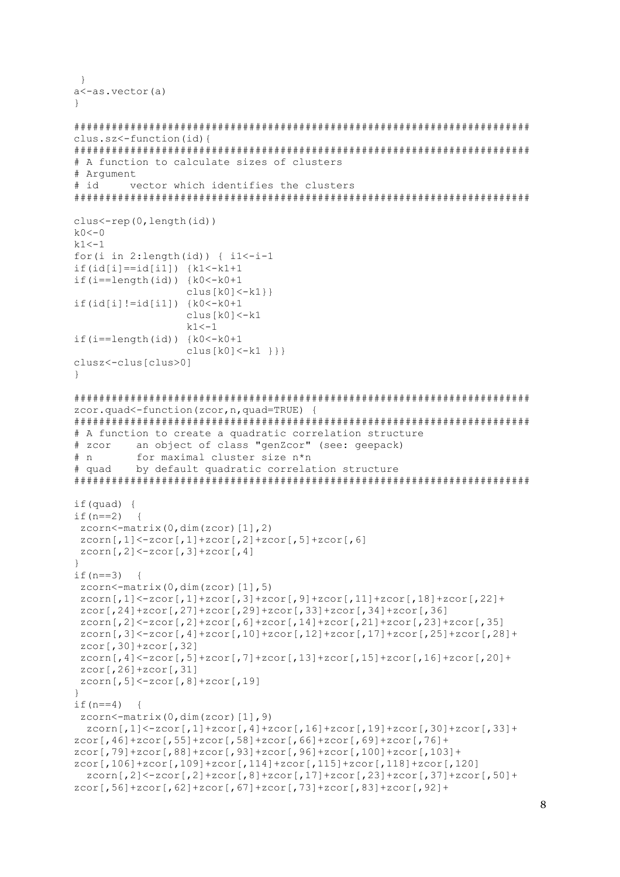```
- }
a<-as.vector(a)
-1
clus.sz <- function (id) {
# A function to calculate sizes of clusters
# Argument
# idvector which identifies the clusters
clus<-rep(0,length(id))
k \big( 0 < - \big) 0k1 < -1for (i in 2: length (id) \{ i1 < -i-1if(id[i] == id[i1]) {k1<-k1+1}if(i==length(id)) {k0<-k0+1clus[k0]<-k1}
if(id[i] != id[i1]) {k0<-k0+1}clus[k0]<-k1k1 < -1if (i == length (id)) {k0 < -k0+1clus[k0]<-k1 } } }
clusz < -clus[clus>0]
\rightarrowzcor.quad<-function(zcor, n, quad=TRUE) {
# A function to create a quadratic correlation structure
# zcor an object of class "genZcor" (see: geepack)
# nfor maximal cluster size n*n
# quad
       by default quadratic correlation structure
if (quad) {
if (n == 2) {
zcorn<-\text{matrix}(0, \text{dim}(zcor) [1], 2)zcorn[,1] <-zcor[,1] +zcor[,2] +zcor[,5] +zcor[,6]
zcorn[, 2]<-zcor[, 3]+zcor[, 4]\}if (n == 3) {
 zcorn < -matrix(0, dim(zcor) [1], 5)zcorn[, 1] < -zcor[, 1] + zcor[, 3] + zcor[, 9] + zcor[, 11] + zcor[, 18] + zcor[, 22] +zcor[, 24]+zcor[, 27]+zcor[, 29]+zcor[, 33]+zcor[, 34]+zcor[, 36]zcorn[, 2] < -zcor[, 2] + zcor[, 6] + zcor[, 14] + zcor[, 21] + zcor[, 23] + zcor[, 35]zcorn[, 3] < -zcor[, 4] + zcor[, 10] + zcor[, 12] + zcor[, 17] + zcor[, 25] + zcor[, 28] +zcor[, 30]+zcor[, 32]zcorn[, 4] < -zcor[, 5] + zcor[, 7] + zcor[, 13] + zcor[, 15] + zcor[, 16] + zcor[, 20] +zcor[, 26]+zcor[, 31]zcorn[, 5]<-zcor[, 8]+zcor[, 19]\lambdaif (n == 4) {
zcorn<-\text{matrix}(0, \text{dim}(zcor) [1], 9)zcorn[, 1] < -zcor[, 1] + zcor[, 4] + zcor[, 16] + zcor[, 19] + zcor[, 30] + zcor[, 33] +zcor[,46]+zcor[,55]+zcor[,58]+zcor[,66]+zcor[,69]+zcor[,76]+
zcor[,79]+zcor[,88]+zcor[,93]+zcor[,96]+zcor[,100]+zcor[,103]+
zcor[,106]+zcor[,109]+zcor[,114]+zcor[,115]+zcor[,118]+zcor[,120]
  zcorn[,2]<-zcor[,2]+zcor[,8]+zcor[,17]+zcor[,23]+zcor[,37]+zcor[,50]+
zcor[,56]+zcor[,62]+zcor[,67]+zcor[,73]+zcor[,83]+zcor[,92]+
```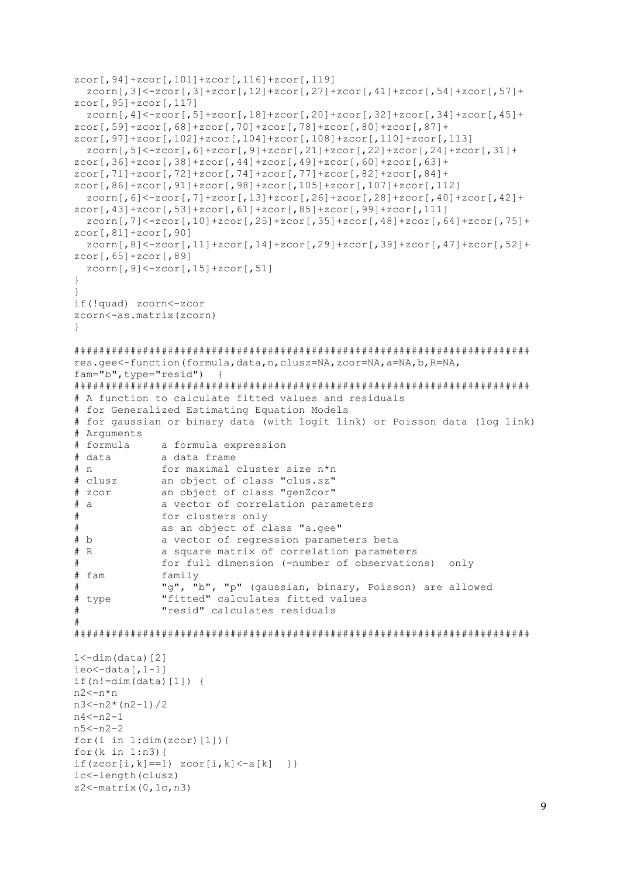```
zcor[,94]+zcor[,101]+zcor[,116]+zcor[,119]
  zcorn[,3]<-zcor[,3]+zcor[,12]+zcor[,27]+zcor[,41]+zcor[,54]+zcor[,57]+
zcor[,95]+zcor[,117]
 zcorn[,4]<-zcor[,5]+zcor[,18]+zcor[,20]+zcor[,32]+zcor[,34]+zcor[,45]+
zcor[,59]+zcor[,68]+zcor[,70]+zcor[,78]+zcor[,80]+zcor[,87]+
zcor[,97]+zcor[,102]+zcor[,104]+zcor[,108]+zcor[,110]+zcor[,113]
  zcorn[,5]<-zcor[,6]+zcor[,9]+zcor[,21]+zcor[,22]+zcor[,24]+zcor[,31]+
zcor[,36]+zcor[,38]+zcor[,44]+zcor[,49]+zcor[,60]+zcor[,63]+
zcor[,71]+zcor[,72]+zcor[,74]+zcor[,77]+zcor[,82]+zcor[,84]+
zcor[,86]+zcor[,91]+zcor[,98]+zcor[,105]+zcor[,107]+zcor[,112]
  zcorn[,6]<-zcor[,7]+zcor[,13]+zcor[,26]+zcor[,28]+zcor[,40]+zcor[,42]+
zcor[,43]+zcor[,53]+zcor[,61]+zcor[,85]+zcor[,99]+zcor[,111]
  zcorn[,7]<-zcor[,10]+zcor[,25]+zcor[,35]+zcor[,48]+zcor[,64]+zcor[,75]+
zcor[,81]+zcor[,90]
 zcorn[,8]<-zcor[,11]+zcor[,14]+zcor[,29]+zcor[,39]+zcor[,47]+zcor[,52]+
zcor[,65]+zcor[,89]
 zcorn[, 9] < -zcor[, 15] + zcor[, 51]}
}
if(!quad) zcorn<-zcor
zcorn<-as.matrix(zcorn)
}
#########################################################################
res.gee<-function(formula,data,n,clusz=NA,zcor=NA,a=NA,b,R=NA,
fam="b",type="resid") {
#########################################################################
# A function to calculate fitted values and residuals
# for Generalized Estimating Equation Models
# for gaussian or binary data (with logit link) or Poisson data (log link)
# Arguments
# formula a formula expression
# data a data frame
# n for maximal cluster size n*n<br># clusz an object of class "clus.sz"
            an object of class "clus.sz"
# zcor an object of class "genZcor"
# a a vector of correlation parameters
# for clusters only
# as an object of class "a.gee"<br># b a vector of regression parame
             a vector of regression parameters beta
# R a square matrix of correlation parameters
# for full dimension (=number of observations) only
# fam family
# "g", "b", "p" (gaussian, binary, Poisson) are allowed
# type "fitted" calculates fitted values
# "resid" calculates residuals
#
#########################################################################
1 < -dim(data)[2]
ieo < -data[, l-1]
if(n!=dim(data)[1]) {
n2 < -n*nn3 < -n2*(n2-1)/2n4 < -n2-1n5<-n2-2
for(i in 1:dim(zcor)[1]) {
for(k in 1:n3){
if(zcor[i,k]=-1) zcor[i,k]<-a[k] }}
lc<-length(clusz)
z2 < - matrix (0, lc, n3)
```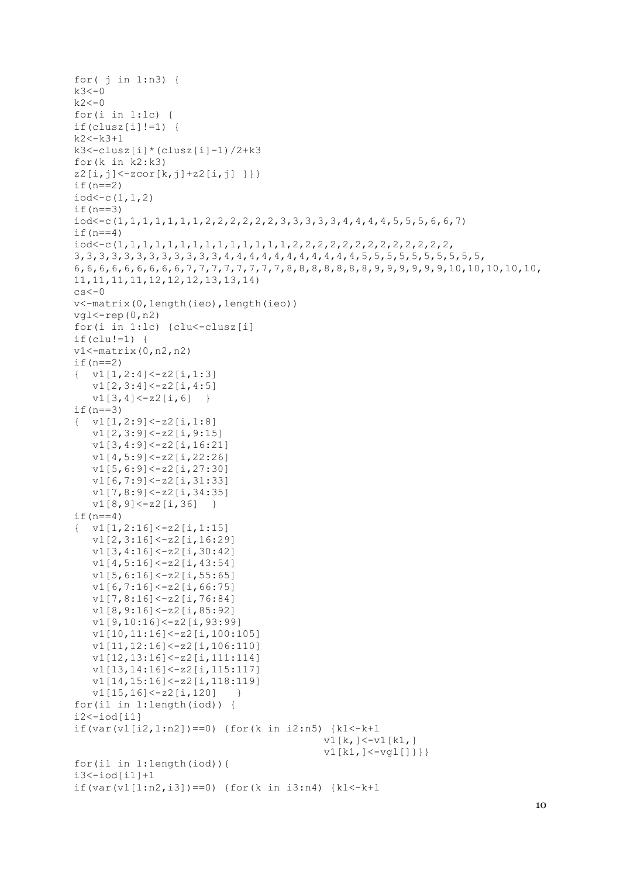```
for(j in 1:n3) {
k3 < -0k2 < -0for(i in 1:lc {
if (clusz[i] != 1) {
k2 < -k3+1k3 < -clusz[i] * (class[i] - 1)/2 + k3for (k \in \mathbb{R}^2 : k3)z2[i,j] < -zcor[k,j]+z2[i,j] } }
if (n==2)iod < - c (1, 1, 2)if (n == 3)iod<-c(1, 1, 1, 1, 1, 1, 1, 2, 2, 2, 2, 2, 2, 3, 3, 3, 3, 3, 4, 4, 4, 4, 5, 5, 5, 6, 6, 7)
if (n==4)3, 3, 3, 3, 3, 3, 3, 3, 3, 3, 3, 3, 4, 4, 4, 4, 4, 4, 4, 4, 4, 4, 4, 4, 5, 5, 5, 5, 5, 5, 5, 5, 5, 5, 5, 5,
11, 11, 11, 11, 12, 12, 12, 13, 13, 14cs < -0v <-matrix (0, length (ieo), length (ieo))
vq1 < -rep(0, n2)for(i in 1:1c) {clu<-clusz[i]
if(clu!=1) {
v1 < - matrix (0, n2, n2)if (n == 2)\{ \text{v1}[1,2:4] \leq z2[i,1:3]v1[2,3:4] < -z2[i,4:5]v1[3,4]<-z2[i,6]\rightarrowif (n==3)\{ \quad v1[1,2:9]<-z2[i,1:8]v1[2,3:9]<-z2[i,9:15]v1[3,4:9]<-z2[i,16:21]v1[4,5:9]<-z2[i,22:26]v1[5, 6:9] < -z2[i, 27:30]v1[6, 7:9] < -z2[i, 31:33]v1[7, 8:9] < -z2[i, 34:35]v1[8, 9] < -z2[i, 36]\left\{\right\}if (n==4)\{ \quad v1[1,2:16] \leq z2[i,1:15]v1[2,3:16] < -z2[i,16:29]v1[3, 4:16] < -z2[i, 30:42]v1[4,5:16] < -z2[i,43:54]v1[5, 6:16] < -z2[i, 55:65]v1[6, 7:16] < -z2[i, 66:75]v1[7, 8:16] < -z2[i, 76:84]v1[8, 9:16] < -z2[i, 85:92]v1[9, 10:16] < -z2[i, 93:99]v1[10, 11:16] < -z2[i, 100:105]v1[11, 12:16] < -z2[i, 106:110]v1[12, 13:16] < -z2[i, 111:114]v1[13, 14:16] < -z2[i, 115:117]v1[14, 15:16] < -z2[i, 118:119]v1[15, 16] < -z2[i, 120]\rightarrowfor(i1 in 1:length(iod) {
i2 < -iod[i1]if (var (v1[i2, 1:n2]) == 0) {for (k in i2:n5) {k1 <- k+1}
                                            v1[k, ]<-v1[k1, ]v1[k1, ]<-vql[]}}}
for(il in 1: length(iod)) {
i3 < -iod[i1]+1if (var (v1[1:n2, i3]) == 0) {for (k in i3:n4) {k1 <- k+1}
```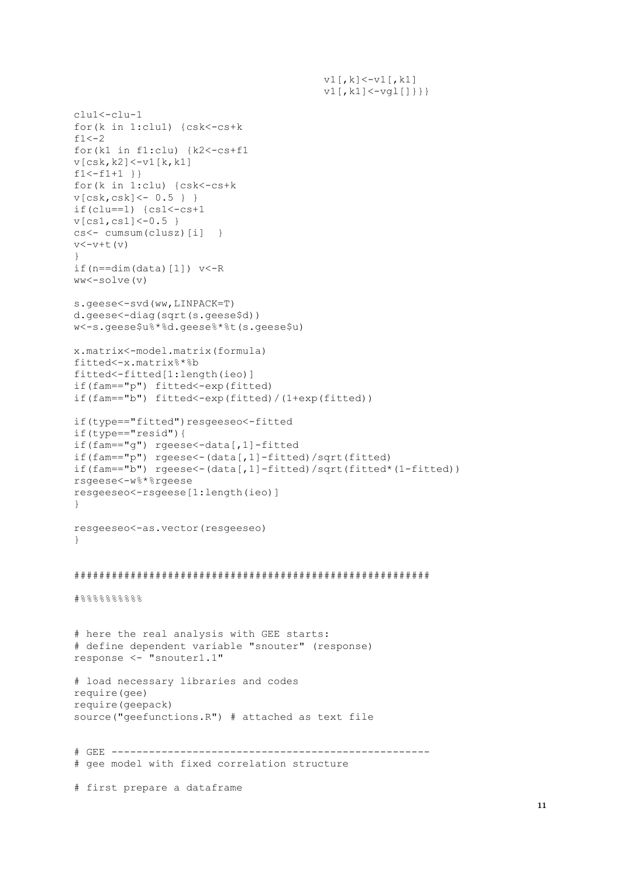```
v1[,k]<-v1[,k1]
                                         v1[, k1]<-vq1[]}}}
clu1<-clu-1
for(k in 1:clu1) {csk<-cs+k
f1<-2for(k1 in f1:clu) {k2<-cs+f1
v[csk,k2]<-v1[k,k1]f1<-f1+1 }}
for(k in 1:clu) {csk<-cs+k
v[csk,csk]<- 0.5 } }
if(clu==1) \{cs1<-cs+1v[cs1,cs1]<-0.5 }
cs<- cumsum(clusz)[i] }
v<-v+t(v)}
if(n=-dim(data)[1]) v<-Rww<-solve(v)
s.geese<-svd(ww,LINPACK=T)
d.geese<-diag(sqrt(s.geese$d))
w<-s.geese$u%*%d.geese%*%t(s.geese$u)
x.matrix<-model.matrix(formula)
fitted<-x.matrix%*%b
fitted<-fitted[1:length(ieo)]
if(fam=="p") fitted<-exp(fitted)
if(fam=="b") fitted<-exp(fitted)/(1+exp(fitted))
if(type=="fitted")resgeeseo<-fitted
if(type=="resid"){
if(fam=="g") rgeese<-data[,1]-fitted
if(fam=="p") rgeese<-(data[,1]-fitted)/sqrt(fitted)
if(fam=="b") rgeese<-(data[,1]-fitted)/sqrt(fitted*(1-fitted))
rsgeese<-w%*%rgeese
resgeeseo<-rsgeese[1:length(ieo)]
}
resgeeseo<-as.vector(resgeeseo)
}
#########################################################
#%%%%%%%%%%%%%%%%%%%%%%%%
# here the real analysis with GEE starts:
# define dependent variable "snouter" (response)
response <- "snouter1.1"
# load necessary libraries and codes
require(gee)
require(geepack)
source("geefunctions.R") # attached as text file
```
# GEE --------------------------------------------------- # gee model with fixed correlation structure

# first prepare a dataframe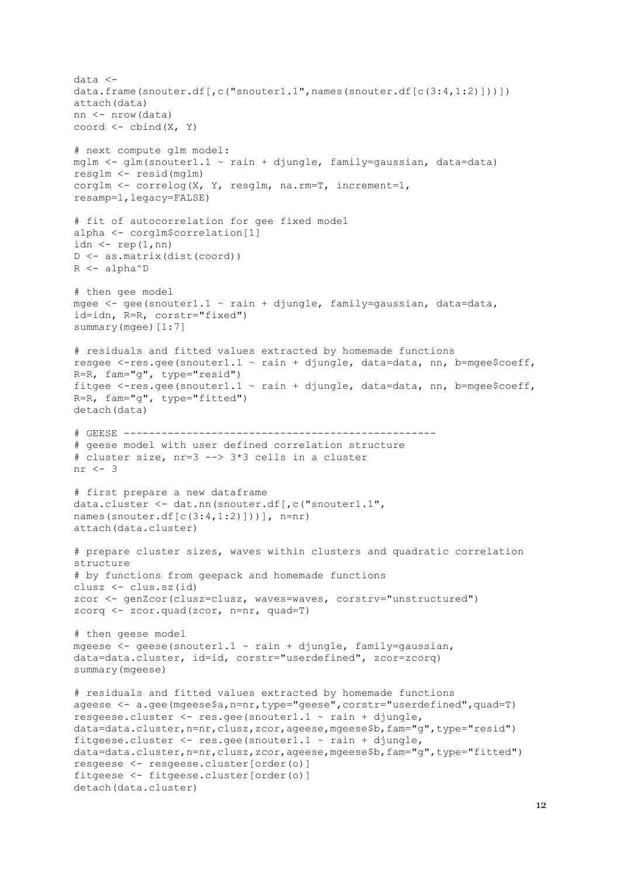data < data.frame(snouter.df[,c("snouter1.1",names(snouter.df[c(3:4,1:2)]))]) attach(data) nn <- nrow(data) coord  $\leq$  cbind(X, Y) # next compute glm model: mglm <- glm(snouter1.1 ~ rain + djungle, family=gaussian, data=data) resglm <- resid(mglm) corglm <- correlog(X, Y, resglm, na.rm=T, increment=1, resamp=1,legacy=FALSE) # fit of autocorrelation for gee fixed model alpha <- corglm\$correlation[1] idn  $\leftarrow$  rep(1,nn) D <- as.matrix(dist(coord)) R <- alpha^D # then gee model mgee <- gee(snouter1.1 ~ rain + djungle, family=gaussian, data=data, id=idn, R=R, corstr="fixed") summary(mgee)[1:7] # residuals and fitted values extracted by homemade functions resgee <-res.gee(snouter1.1 ~ rain + djungle, data=data, nn, b=mgee\$coeff, R=R, fam="g", type="resid") fitgee <-res.gee(snouter1.1 ~ rain + djungle, data=data, nn, b=mgee\$coeff, R=R, fam="g", type="fitted") detach(data) # GEESE -------------------------------------------------- # geese model with user defined correlation structure # cluster size, nr=3 --> 3\*3 cells in a cluster nr  $\leq -3$ # first prepare a new dataframe data.cluster <- dat.nn(snouter.df[,c("snouter1.1", names(snouter.df[c(3:4,1:2)]))], n=nr) attach(data.cluster) # prepare cluster sizes, waves within clusters and quadratic correlation structure # by functions from geepack and homemade functions clusz <- clus.sz(id) zcor <- genZcor(clusz=clusz, waves=waves, corstrv="unstructured") zcorq <- zcor.quad(zcor, n=nr, quad=T) # then geese model mgeese  $\leq$  - geese (snouter1.1  $\sim$  rain + djungle, family=gaussian, data=data.cluster, id=id, corstr="userdefined", zcor=zcorq) summary(mgeese) # residuals and fitted values extracted by homemade functions ageese <- a.gee(mgeese\$a,n=nr,type="geese",corstr="userdefined",quad=T) resgeese.cluster <- res.gee(snouter1.1 ~ rain + djungle, data=data.cluster,n=nr,clusz,zcor,ageese,mgeese\$b,fam="g",type="resid") fitgeese.cluster  $\leq$  res.gee(snouter1.1  $\sim$  rain + djungle, data=data.cluster, n=nr, clusz, zcor, ageese, mgeese\$b, fam="g", type="fitted") resgeese <- resgeese.cluster[order(o)] fitgeese <- fitgeese.cluster[order(o)] detach(data.cluster)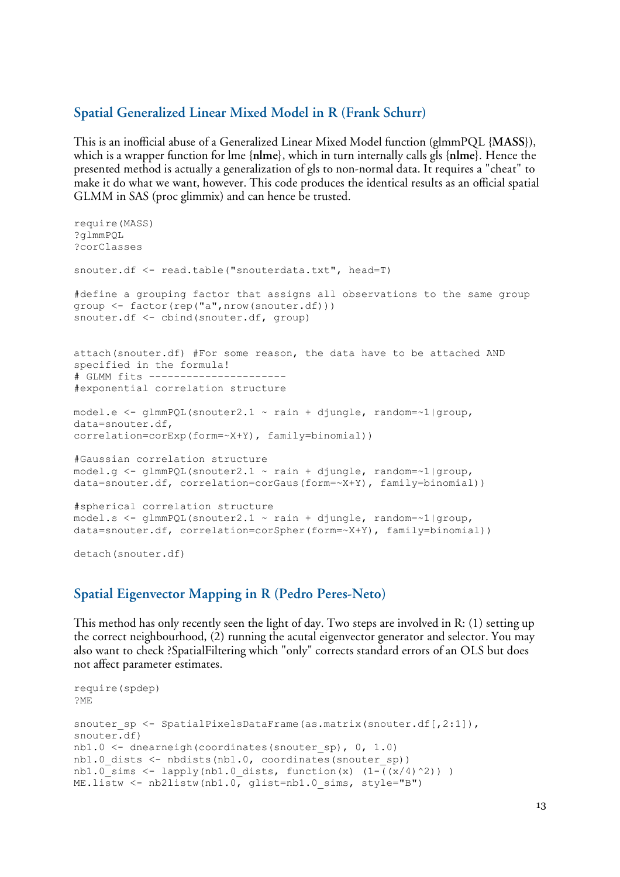#### **Spatial Generalized Linear Mixed Model in R (Frank Schurr)**

This is an inofficial abuse of a Generalized Linear Mixed Model function (glmmPQL {**MASS**}), which is a wrapper function for lme {**nlme**}, which in turn internally calls gls {**nlme**}. Hence the presented method is actually a generalization of gls to non-normal data. It requires a "cheat" to make it do what we want, however. This code produces the identical results as an official spatial GLMM in SAS (proc glimmix) and can hence be trusted.

```
require(MASS)
?glmmPQL
?corClasses
snouter.df <- read.table("snouterdata.txt", head=T)
#define a grouping factor that assigns all observations to the same group
group <- factor(rep("a",nrow(snouter.df)))
snouter.df <- cbind(snouter.df, group)
attach(snouter.df) #For some reason, the data have to be attached AND
specified in the formula!
# GLMM fits ----------------------
#exponential correlation structure
model.e \leq - glmmPQL(snouter2.1 \sim rain + djungle, random=\sim1|group,
data=snouter.df,
correlation=corExp(form=~X+Y), family=binomial))
#Gaussian correlation structure
model.g \leq - glmmPQL(snouter2.1 \sim rain + djungle, random=\sim1|group,
data=snouter.df, correlation=corGaus(form=~X+Y), family=binomial))
#spherical correlation structure
model.s <- glmmPQL(snouter2.1 ~ rain + djungle, random=~1|group,
data=snouter.df, correlation=corSpher(form=~X+Y), family=binomial))
detach(snouter.df)
```
#### **Spatial Eigenvector Mapping in R (Pedro Peres-Neto)**

This method has only recently seen the light of day. Two steps are involved in R: (1) setting up the correct neighbourhood, (2) running the acutal eigenvector generator and selector. You may also want to check ?SpatialFiltering which "only" corrects standard errors of an OLS but does not affect parameter estimates.

```
require(spdep)
?ME
snouter sp \leq SpatialPixelsDataFrame(as.matrix(snouter.df[,2:1]),
snouter.df)
nb1.0 \leftarrow dnearneigh (coordinates (snouter sp), 0, 1.0)
nb1.0 dists \leftarrow nbdists(nb1.0, coordinates(snouter sp))
nb1.0 sims \leftarrow lapply(nb1.0 dists, function(x) (1-((x/4)^2)) )
ME. listw \leftarrow nb2listw(nb1.0, qlist=nb1.0,sims, style="B"')
```